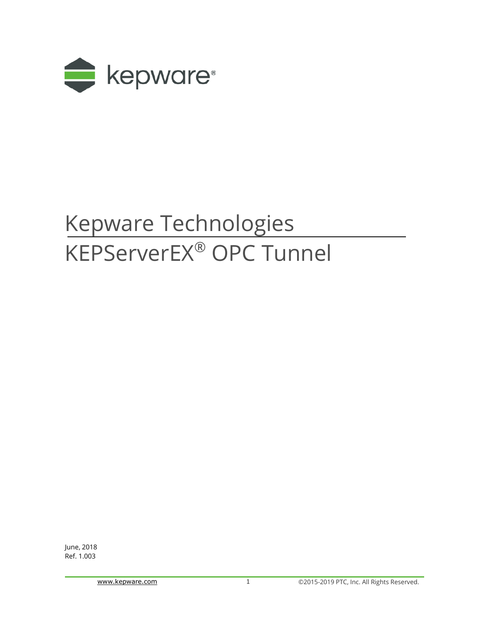

# Kepware Technologies KEPServerEX® OPC Tunnel

June, 2018 Ref. 1.003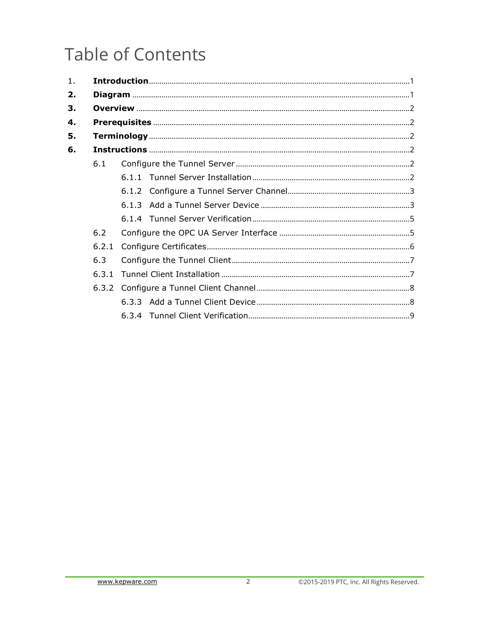## **Table of Contents**

| 1 <sub>1</sub> |       |  |
|----------------|-------|--|
| 2.             |       |  |
| 3.             |       |  |
| 4.             |       |  |
| 5.             |       |  |
| 6.             |       |  |
|                | 6.1   |  |
|                |       |  |
|                |       |  |
|                |       |  |
|                |       |  |
|                | 6.2   |  |
|                | 6.2.1 |  |
|                | 6.3   |  |
|                | 6.3.1 |  |
|                |       |  |
|                |       |  |
|                |       |  |
|                |       |  |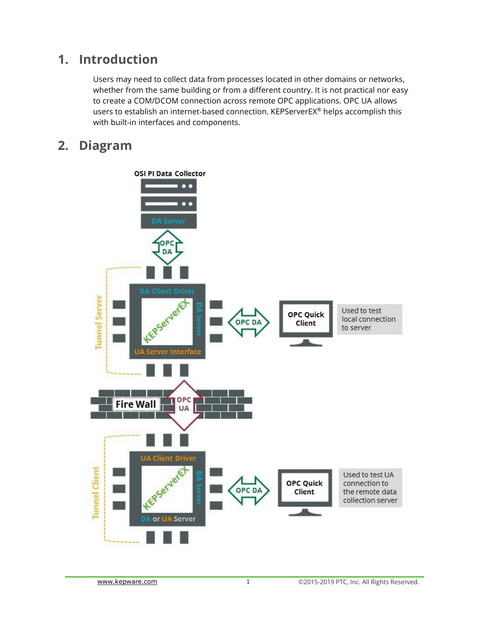## <span id="page-2-0"></span>**1. Introduction**

Users may need to collect data from processes located in other domains or networks, whether from the same building or from a different country. It is not practical nor easy to create a COM/DCOM connection across remote OPC applications. OPC UA allows users to establish an internet-based connection. KEPServerEX® helps accomplish this with built-in interfaces and components.

## <span id="page-2-1"></span>**2. Diagram**

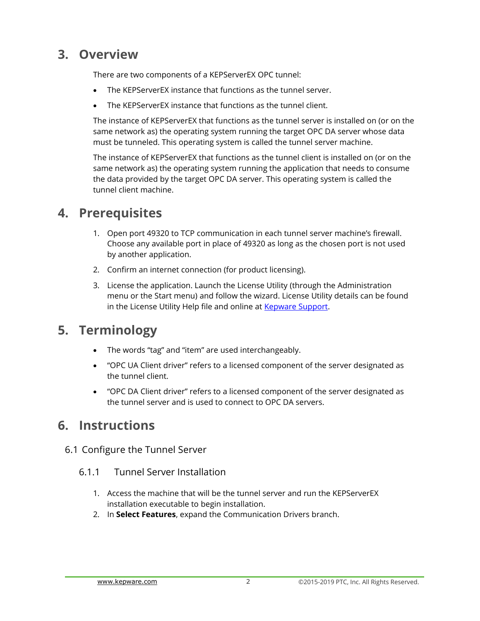## <span id="page-3-0"></span>**3. Overview**

There are two components of a KEPServerEX OPC tunnel:

- The KEPServerEX instance that functions as the tunnel server.
- The KEPServerEX instance that functions as the tunnel client.

The instance of KEPServerEX that functions as the tunnel server is installed on (or on the same network as) the operating system running the target OPC DA server whose data must be tunneled. This operating system is called the tunnel server machine.

The instance of KEPServerEX that functions as the tunnel client is installed on (or on the same network as) the operating system running the application that needs to consume the data provided by the target OPC DA server. This operating system is called the tunnel client machine.

## <span id="page-3-1"></span>**4. Prerequisites**

- 1. Open port 49320 to TCP communication in each tunnel server machine's firewall. Choose any available port in place of 49320 as long as the chosen port is not used by another application.
- 2. Confirm an internet connection (for product licensing).
- 3. License the application. Launch the License Utility (through the Administration menu or the Start menu) and follow the wizard. License Utility details can be found in the License Utility Help file and online at **Kepware Support**.

## <span id="page-3-2"></span>**5. Terminology**

- The words "tag" and "item" are used interchangeably.
- "OPC UA Client driver" refers to a licensed component of the server designated as the tunnel client.
- "OPC DA Client driver" refers to a licensed component of the server designated as the tunnel server and is used to connect to OPC DA servers.

## <span id="page-3-3"></span>**6. Instructions**

- <span id="page-3-5"></span><span id="page-3-4"></span>6.1 Configure the Tunnel Server
	- 6.1.1 Tunnel Server Installation
		- 1. Access the machine that will be the tunnel server and run the KEPServerEX installation executable to begin installation.
		- 2. In **Select Features**, expand the Communication Drivers branch.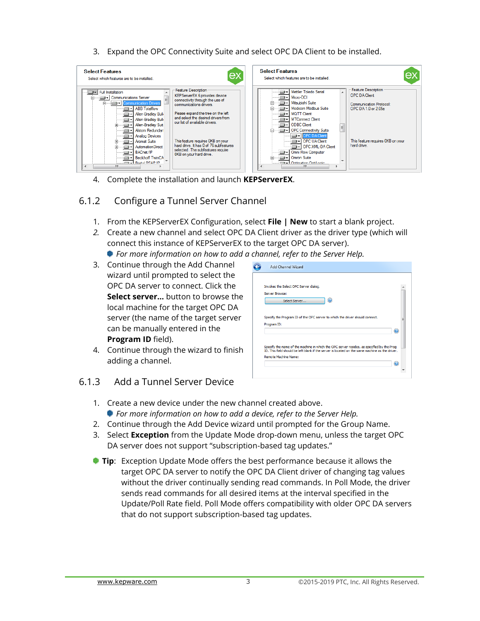<span id="page-4-2"></span>3. Expand the OPC Connectivity Suite and select OPC DA Client to be installed.



4. Complete the installation and launch **KEPServerEX**.

#### <span id="page-4-0"></span>6.1.2 Configure a Tunnel Server Channel

- 1. From the KEPServerEX Configuration, select **File | New** to start a blank project.
- *2.* Create a new channel and select OPC DA Client driver as the driver type (which will connect this instance of KEPServerEX to the target OPC DA server).
	- *For more information on how to add a channel, refer to the Server Help.*
- 3. Continue through the Add Channel wizard until prompted to select the OPC DA server to connect. Click the **Select server…** button to browse the local machine for the target OPC DA server (the name of the target server can be manually entered in the **Program ID** field).
- 4. Continue through the wizard to finish adding a channel.



#### <span id="page-4-1"></span>6.1.3 Add a Tunnel Server Device

- 1. Create a new device under the new channel created above. *For more information on how to add a device, refer to the Server Help.*
- 2. Continue through the Add Device wizard until prompted for the Group Name.
- <span id="page-4-3"></span>3. Select **Exception** from the Update Mode drop-down menu, unless the target OPC DA server does not support "subscription-based tag updates."
- **Tip**: Exception Update Mode offers the best performance because it allows the target OPC DA server to notify the OPC DA Client driver of changing tag values without the driver continually sending read commands. In Poll Mode, the driver sends read commands for all desired items at the interval specified in the Update/Poll Rate field. Poll Mode offers compatibility with older OPC DA servers that do not support subscription-based tag updates.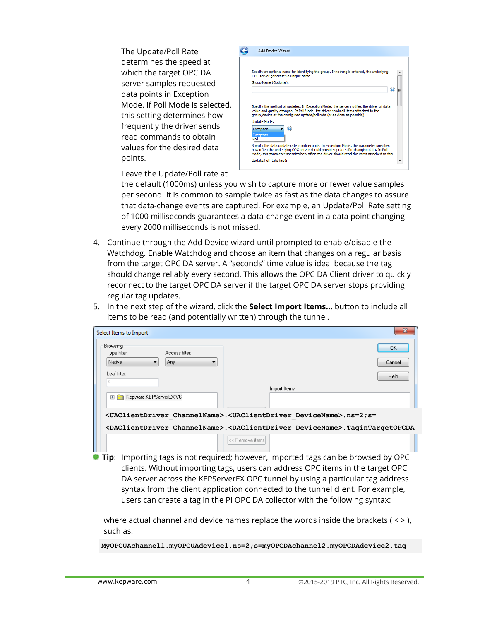The Update/Poll Rate determines the speed at which the target OPC DA server samples requested data points in Exception Mode. If Poll Mode is selected, this setting determines how frequently the driver sends read commands to obtain values for the desired data points.



Leave the Update/Poll rate at

the default (1000ms) unless you wish to capture more or fewer value samples per second. It is common to sample twice as fast as the data changes to assure that data-change events are captured. For example, an Update/Poll Rate setting of 1000 milliseconds guarantees a data-change event in a data point changing every 2000 milliseconds is not missed.

- 4. Continue through the Add Device wizard until prompted to enable/disable the Watchdog. Enable Watchdog and choose an item that changes on a regular basis from the target OPC DA server. A "seconds" time value is ideal because the tag should change reliably every second. This allows the OPC DA Client driver to quickly reconnect to the target OPC DA server if the target OPC DA server stops providing regular tag updates.
- 5. In the next step of the wizard, click the **Select Import Items…** button to include all items to be read (and potentially written) through the tunnel.

| Select Items to Import                     | $\mathbf{x}$                                                                                                      |
|--------------------------------------------|-------------------------------------------------------------------------------------------------------------------|
| Browsing<br>Type filter:<br>Access filter: | OK.                                                                                                               |
| Native<br>Any                              | Cancel                                                                                                            |
| Leaf filter:<br>×                          | Help                                                                                                              |
|                                            | Import Items:                                                                                                     |
| E-Film Kepware.KEPServerEX.V6              |                                                                                                                   |
|                                            | <uaclientdriver channelname="">.<uaclientdriver devicename="">.ns=2;s=</uaclientdriver></uaclientdriver>          |
|                                            | <daclientdriver channelname="">.<daclientdriver devicename="">.TaginTargetOPCDA</daclientdriver></daclientdriver> |
|                                            | << Remove items                                                                                                   |

**Tip**: Importing tags is not required; however, imported tags can be browsed by OPC clients. Without importing tags, users can address OPC items in the target OPC DA server across the KEPServerEX OPC tunnel by using a particular tag address syntax from the client application connected to the tunnel client. For example, users can create a tag in the PI OPC DA collector with the following syntax:

where actual channel and device names replace the words inside the brackets ( $\langle \rangle$ ), such as:

**MyOPCUAchannel1.myOPCUAdevice1.ns=2;s=myOPCDAchannel2.myOPCDAdevice2.tag**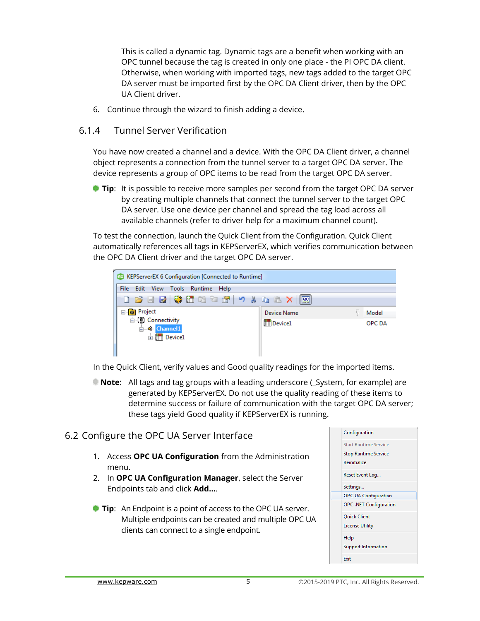This is called a dynamic tag. Dynamic tags are a benefit when working with an OPC tunnel because the tag is created in only one place - the PI OPC DA client. Otherwise, when working with imported tags, new tags added to the target OPC DA server must be imported first by the OPC DA Client driver, then by the OPC UA Client driver.

6. Continue through the wizard to finish adding a device.

#### <span id="page-6-0"></span>6.1.4 Tunnel Server Verification

You have now created a channel and a device. With the OPC DA Client driver, a channel object represents a connection from the tunnel server to a target OPC DA server. The device represents a group of OPC items to be read from the target OPC DA server.

**Tip:** It is possible to receive more samples per second from the target OPC DA server by creating multiple channels that connect the tunnel server to the target OPC DA server. Use one device per channel and spread the tag load across all available channels (refer to driver help for a maximum channel count).

To test the connection, launch the Quick Client from the Configuration. Quick Client automatically references all tags in KEPServerEX, which verifies communication between the OPC DA Client driver and the target OPC DA server.



In the Quick Client, verify values and Good quality readings for the imported items.

**Note:** All tags and tag groups with a leading underscore (System, for example) are generated by KEPServerEX. Do not use the quality reading of these items to determine success or failure of communication with the target OPC DA server; these tags yield Good quality if KEPServerEX is running.

#### <span id="page-6-1"></span>6.2 Configure the OPC UA Server Interface

- 1. Access **OPC UA Configuration** from the Administration menu.
- 2. In **OPC UA Configuration Manager**, select the Server Endpoints tab and click **Add…**.
- **Tip**: An Endpoint is a point of access to the OPC UA server. Multiple endpoints can be created and multiple OPC UA clients can connect to a single endpoint.

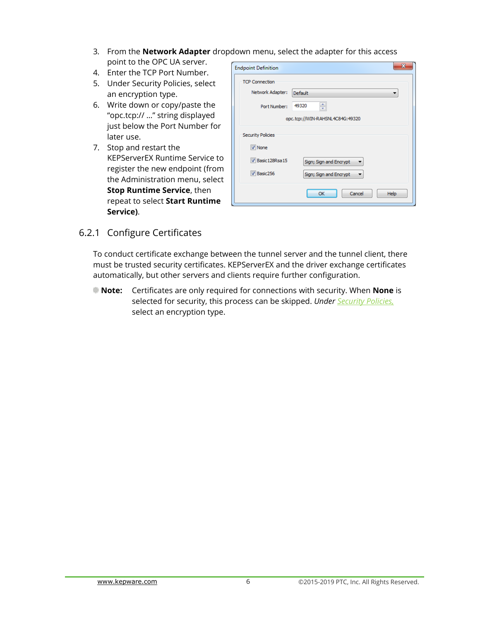- 3. From the **Network Adapter** dropdown menu, select the adapter for this access point to the OPC UA server.
- 4. Enter the TCP Port Number.
- <span id="page-7-1"></span>5. Under Security Policies, select an encryption type.
- <span id="page-7-2"></span>6. Write down or copy/paste the "opc.tcp:// …" string displayed just below the Port Number for later use.
- 7. Stop and restart the KEPServerEX Runtime Service to register the new endpoint (from the Administration menu, select **Stop Runtime Service**, then repeat to select **Start Runtime Service)**.

| <b>Endpoint Definition</b> |                                 |
|----------------------------|---------------------------------|
| <b>TCP Connection</b>      |                                 |
| Network Adapter:           | <b>Default</b><br>▼             |
| Port Number:               | ≑<br>49320                      |
|                            | opc.tcp://WIN-RAHSNL4C84G:49320 |
| <b>Security Policies</b>   |                                 |
| $\nabla$ None              |                                 |
| Basic 128Rsa 15            | Sign; Sign and Encrypt<br>▼     |
| V Basic256                 | Sign; Sign and Encrypt<br>▼     |
|                            | Cancel<br><b>OK</b><br>Help     |

#### <span id="page-7-0"></span>6.2.1 Configure Certificates

To conduct certificate exchange between the tunnel server and the tunnel client, there must be trusted security certificates. KEPServerEX and the driver exchange certificates automatically, but other servers and clients require further configuration.

**Note:** Certificates are only required for connections with security. When **None** is selected for security, this process can be skipped. *[Under Security Policies,](#page-7-1)* select an [encryption type.](#page-7-1)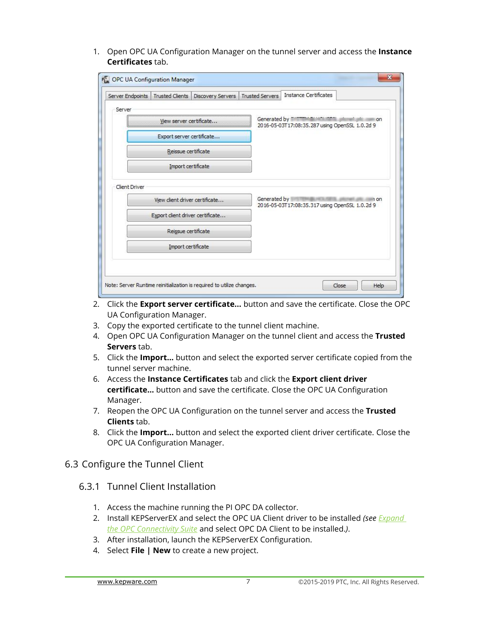1. Open OPC UA Configuration Manager on the tunnel server and access the **Instance Certificates** tab.

| Server Endpoints     | <b>Trusted Clients</b>          | Discovery Servers | <b>Trusted Servers</b> | <b>Instance Certificates</b>                                                                 |
|----------------------|---------------------------------|-------------------|------------------------|----------------------------------------------------------------------------------------------|
| Server               |                                 |                   |                        |                                                                                              |
|                      | View server certificate         |                   |                        | Generated by The Theorem and the the<br>on<br>2016-05-03T17:08:35.287 using OpenSSL 1.0.2d 9 |
|                      | Export server certificate       |                   |                        |                                                                                              |
|                      | Reissue certificate             |                   |                        |                                                                                              |
|                      | Import certificate              |                   |                        |                                                                                              |
| <b>Client Driver</b> | View client driver certificate  |                   | Generated by           | n on<br>2016-05-03T17:08:35.317 using OpenSSL 1.0.2d 9                                       |
|                      | Export dient driver certificate |                   |                        |                                                                                              |
|                      | Reissue certificate             |                   |                        |                                                                                              |
|                      | Import certificate              |                   |                        |                                                                                              |
|                      |                                 |                   |                        |                                                                                              |

- 2. Click the **Export server certificate...** button and save the certificate. Close the OPC UA Configuration Manager.
- 3. Copy the exported certificate to the tunnel client machine.
- 4. Open OPC UA Configuration Manager on the tunnel client and access the **Trusted Servers** tab.
- 5. Click the **Import…** button and select the exported server certificate copied from the tunnel server machine.
- 6. Access the **Instance Certificates** tab and click the **Export client driver certificate…** button and save the certificate. Close the OPC UA Configuration Manager.
- 7. Reopen the OPC UA Configuration on the tunnel server and access the **Trusted Clients** tab.
- 8. Click the **Import...** button and select the exported client driver certificate. Close the OPC UA Configuration Manager.
- <span id="page-8-1"></span><span id="page-8-0"></span>6.3 Configure the Tunnel Client
	- 6.3.1 Tunnel Client Installation
		- 1. Access the machine running the PI OPC DA collector.
		- 2. Install KEPServerEX and select the OPC UA Client driver to be installed *(se[e Expand](#page-4-2)  the OPC Connectivity Suite* [and select OPC DA Client to be installed.](#page-4-2)*)*.
		- 3. After installation, launch the KEPServerEX Configuration.
		- 4. Select **File | New** to create a new project.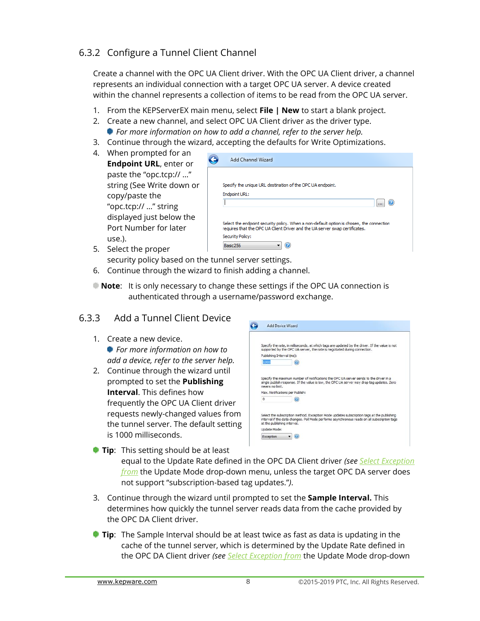#### <span id="page-9-0"></span>6.3.2 Configure a Tunnel Client Channel

Create a channel with the OPC UA Client driver. With the OPC UA Client driver, a channel represents an individual connection with a target OPC UA server. A device created within the channel represents a collection of items to be read from the OPC UA server.

- 1. From the KEPServerEX main menu, select **File | New** to start a blank project.
- 2. Create a new channel, and select OPC UA Client driver as the driver type.
	- *For more information on how to add a channel, refer to the server help.*
- 3. Continue through the wizard, accepting the defaults for Write Optimizations.
- 4. When prompted for an **Endpoint URL**, enter or paste the "opc.tcp:// …" string (See [Write down or](#page-7-2)  [copy/paste the](#page-7-2)  ["opc.tcp:// …" string](#page-7-2)  [displayed just below the](#page-7-2)  [Port Number for later](#page-7-2) [use.\)](#page-7-2).

| Specify the unique URL destination of the OPC UA endpoint.                  |                                                                                          |  |
|-----------------------------------------------------------------------------|------------------------------------------------------------------------------------------|--|
|                                                                             |                                                                                          |  |
|                                                                             |                                                                                          |  |
|                                                                             | Select the endpoint security policy. When a non-default option is chosen, the connection |  |
| requires that the OPC UA Client Driver and the UA server swap certificates. |                                                                                          |  |
|                                                                             |                                                                                          |  |
|                                                                             |                                                                                          |  |
|                                                                             |                                                                                          |  |

5. Select the proper

security policy based on the tunnel server settings.

- 6. Continue through the wizard to finish adding a channel.
- <span id="page-9-1"></span>**Note**: It is only necessary to change these settings if the OPC UA connection is authenticated through a username/password exchange.

#### 6.3.3 Add a Tunnel Client Device

- 1. Create a new device. *For more information on how to add a device, refer to the server help.*
- 2. Continue through the wizard until prompted to set the **Publishing Interval**. This defines how frequently the OPC UA Client driver requests newly-changed values from the tunnel server. The default setting is 1000 milliseconds.

|                           | Specify the rate, in milliseconds, at which tags are updated by the driver. If the value is not<br>supported by the OPC UA server, the rate is negotiated during connection. |
|---------------------------|------------------------------------------------------------------------------------------------------------------------------------------------------------------------------|
| Publishing Interval (ms): |                                                                                                                                                                              |
| 1000                      |                                                                                                                                                                              |
|                           | Specify the maximum number of notifications the OPC UA server sends to the driver in a                                                                                       |
| means no limit.           | single publish response. If the value is low, the OPC UA server may drop tag updates. Zero                                                                                   |
| $\Omega$                  | Max. Notifications per Publish:                                                                                                                                              |

- **Tip:** This setting should be at least equal to the Update Rate defined in the OPC DA Client driver *(see [Select Exception](#page-4-3) from* [the Update Mode drop-down menu, unless the target OPC DA server does](#page-4-3)  [not support "subscription](#page-4-3)-based tag updates."*)*.
- 3. Continue through the wizard until prompted to set the **Sample Interval.** This determines how quickly the tunnel server reads data from the cache provided by the OPC DA Client driver.
- **Tip:** The Sample Interval should be at least twice as fast as data is updating in the cache of the tunnel server, which is determined by the Update Rate defined in the OPC DA Client driver *(see Select Exception from* [the Update Mode drop-down](#page-4-3)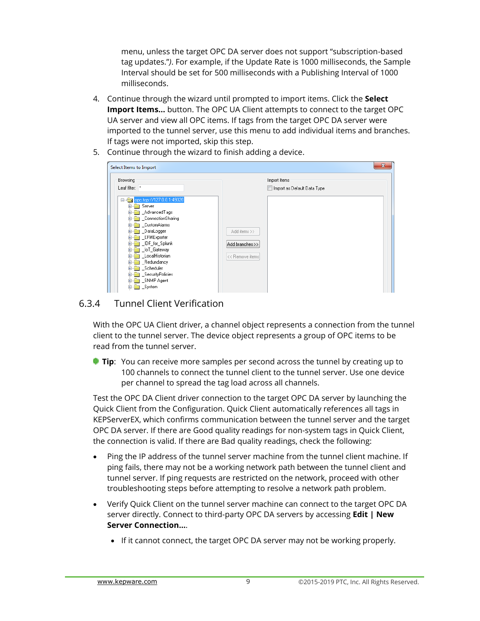menu, unless the [target OPC DA server does not support "subscription](#page-4-3)-based [tag updates."](#page-4-3)*)*. For example, if the Update Rate is 1000 milliseconds, the Sample Interval should be set for 500 milliseconds with a Publishing Interval of 1000 milliseconds.

- 4. Continue through the wizard until prompted to import items. Click the **Select Import Items...** button. The OPC UA Client attempts to connect to the target OPC UA server and view all OPC items. If tags from the target OPC DA server were imported to the tunnel server, use this menu to add individual items and branches. If tags were not imported, skip this step.
- 5. Continue through the wizard to finish adding a device.

| Browsing                                                                                                                                                                                                                                                                                     | Import Items                                       |
|----------------------------------------------------------------------------------------------------------------------------------------------------------------------------------------------------------------------------------------------------------------------------------------------|----------------------------------------------------|
| Leaf filter: *                                                                                                                                                                                                                                                                               | Import as Default Data Type                        |
| opc.tcp://127.0.0.1:49320<br>e-<br>Server<br>_AdvancedTags<br>_ConnectionSharing<br>_CustomAlarms<br>Ŧ<br>DataLogger<br>Ŧ<br>_EFMExporter<br>围<br>UDF_for_Splunk<br>围<br>OT_Gateway<br>$\left  + \right $<br>LocalHistorian<br>Ŧ<br>Redundancy<br>_Scheduler<br>Ŧ<br>SecurityPolicies<br>$+$ | Add items >><br>Add branches >><br><< Remove items |

#### <span id="page-10-0"></span>6.3.4 Tunnel Client Verification

With the OPC UA Client driver, a channel object represents a connection from the tunnel client to the tunnel server. The device object represents a group of OPC items to be read from the tunnel server.

**Tip**: You can receive more samples per second across the tunnel by creating up to 100 channels to connect the tunnel client to the tunnel server. Use one device per channel to spread the tag load across all channels.

Test the OPC DA Client driver connection to the target OPC DA server by launching the Quick Client from the Configuration. Quick Client automatically references all tags in KEPServerEX, which confirms communication between the tunnel server and the target OPC DA server. If there are Good quality readings for non-system tags in Quick Client, the connection is valid. If there are Bad quality readings, check the following:

- Ping the IP address of the tunnel server machine from the tunnel client machine. If ping fails, there may not be a working network path between the tunnel client and tunnel server. If ping requests are restricted on the network, proceed with other troubleshooting steps before attempting to resolve a network path problem.
- Verify Quick Client on the tunnel server machine can connect to the target OPC DA server directly. Connect to third-party OPC DA servers by accessing **Edit | New Server Connection…**.
	- If it cannot connect, the target OPC DA server may not be working properly.